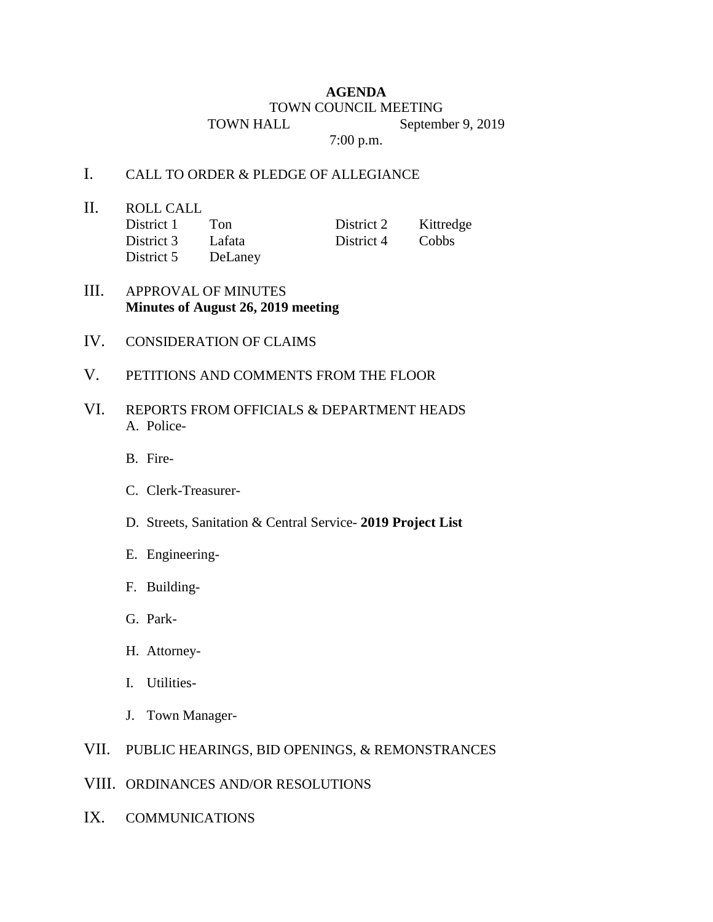## **AGENDA** TOWN COUNCIL MEETING TOWN HALL September 9, 2019

7:00 p.m.

## I. CALL TO ORDER & PLEDGE OF ALLEGIANCE

II. ROLL CALL District 1 Ton District 2 Kittredge

District 3 Lafata District 4 Cobbs District 5 DeLaney

- III. APPROVAL OF MINUTES **Minutes of August 26, 2019 meeting**
- IV. CONSIDERATION OF CLAIMS
- V. PETITIONS AND COMMENTS FROM THE FLOOR
- VI. REPORTS FROM OFFICIALS & DEPARTMENT HEADS A. Police-
	- B. Fire-
	- C. Clerk-Treasurer-
	- D. Streets, Sanitation & Central Service- **2019 Project List**
	- E. Engineering-
	- F. Building-
	- G. Park-
	- H. Attorney-
	- I. Utilities-
	- J. Town Manager-

## VII. PUBLIC HEARINGS, BID OPENINGS, & REMONSTRANCES

- VIII. ORDINANCES AND/OR RESOLUTIONS
- IX. COMMUNICATIONS